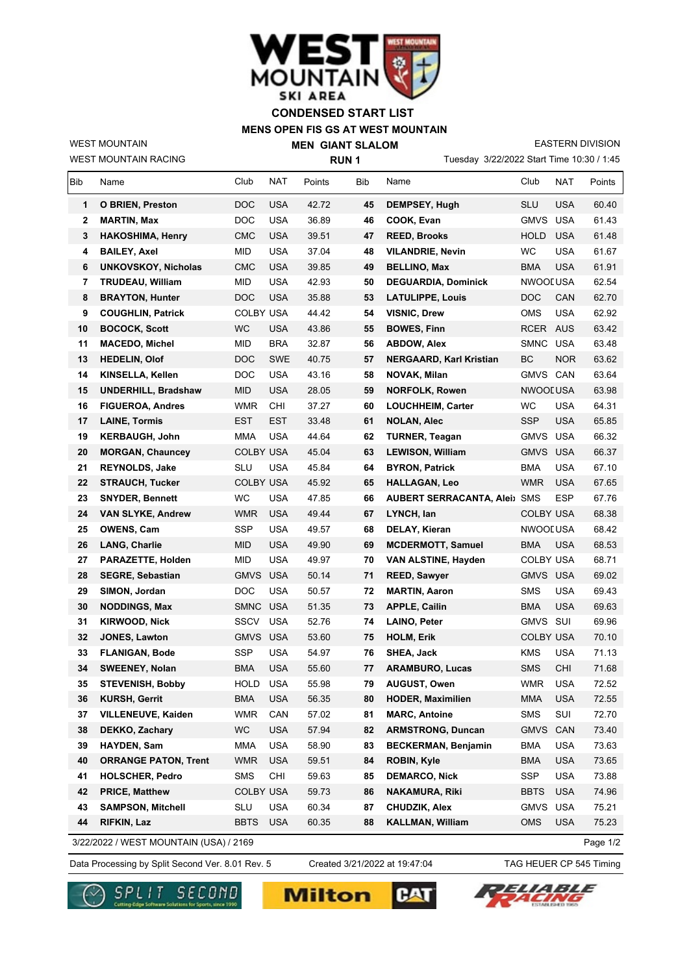

## **MENS OPEN FIS GS AT WEST MOUNTAIN CONDENSED START LIST**

WEST MOUNTAIN RACING WEST MOUNTAIN

**MEN GIANT SLALOM RUN 1**

Tuesday 3/22/2022 Start Time 10:30 / 1:45 EASTERN DIVISION

| Bib                                                | Name                        | Club             | <b>NAT</b> | Points | Bib | Name                            | Club             | <b>NAT</b> | Points |  |
|----------------------------------------------------|-----------------------------|------------------|------------|--------|-----|---------------------------------|------------------|------------|--------|--|
| 1                                                  | <b>O BRIEN, Preston</b>     | DOC              | <b>USA</b> | 42.72  | 45  | DEMPSEY, Hugh                   | <b>SLU</b>       | <b>USA</b> | 60.40  |  |
| 2                                                  | <b>MARTIN, Max</b>          | DOC              | <b>USA</b> | 36.89  | 46  | COOK, Evan                      | <b>GMVS</b>      | <b>USA</b> | 61.43  |  |
| 3                                                  | <b>HAKOSHIMA, Henry</b>     | <b>CMC</b>       | <b>USA</b> | 39.51  | 47  | <b>REED, Brooks</b>             | <b>HOLD</b>      | <b>USA</b> | 61.48  |  |
| 4                                                  | <b>BAILEY, Axel</b>         | MID              | <b>USA</b> | 37.04  | 48  | <b>VILANDRIE, Nevin</b>         | <b>WC</b>        | <b>USA</b> | 61.67  |  |
| 6                                                  | <b>UNKOVSKOY, Nicholas</b>  | <b>CMC</b>       | <b>USA</b> | 39.85  | 49  | <b>BELLINO, Max</b>             | <b>BMA</b>       | <b>USA</b> | 61.91  |  |
| 7                                                  | <b>TRUDEAU, William</b>     | <b>MID</b>       | <b>USA</b> | 42.93  | 50  | <b>DEGUARDIA, Dominick</b>      | <b>NWOOLUSA</b>  |            | 62.54  |  |
| 8                                                  | <b>BRAYTON, Hunter</b>      | DOC              | <b>USA</b> | 35.88  | 53  | <b>LATULIPPE, Louis</b>         | DOC              | CAN        | 62.70  |  |
| 9                                                  | <b>COUGHLIN, Patrick</b>    | <b>COLBY USA</b> |            | 44.42  | 54  | <b>VISNIC, Drew</b>             | <b>OMS</b>       | <b>USA</b> | 62.92  |  |
| 10                                                 | <b>BOCOCK, Scott</b>        | WC               | <b>USA</b> | 43.86  | 55  | <b>BOWES, Finn</b>              | RCER             | AUS        | 63.42  |  |
| 11                                                 | <b>MACEDO, Michel</b>       | MID              | <b>BRA</b> | 32.87  | 56  | <b>ABDOW, Alex</b>              | <b>SMNC</b>      | <b>USA</b> | 63.48  |  |
| 13                                                 | <b>HEDELIN, Olof</b>        | DOC              | <b>SWE</b> | 40.75  | 57  | <b>NERGAARD, Karl Kristian</b>  | BC               | NOR.       | 63.62  |  |
| 14                                                 | KINSELLA, Kellen            | DOC              | <b>USA</b> | 43.16  | 58  | NOVAK, Milan                    | <b>GMVS</b>      | CAN        | 63.64  |  |
| 15                                                 | <b>UNDERHILL, Bradshaw</b>  | MID              | <b>USA</b> | 28.05  | 59  | <b>NORFOLK, Rowen</b>           | <b>NWOOLUSA</b>  |            | 63.98  |  |
| 16                                                 | <b>FIGUEROA, Andres</b>     | <b>WMR</b>       | CHI        | 37.27  | 60  | LOUCHHEIM, Carter               | <b>WC</b>        | <b>USA</b> | 64.31  |  |
| 17                                                 | <b>LAINE, Tormis</b>        | <b>EST</b>       | <b>EST</b> | 33.48  | 61  | <b>NOLAN, Alec</b>              | <b>SSP</b>       | <b>USA</b> | 65.85  |  |
| 19                                                 | <b>KERBAUGH, John</b>       | <b>MMA</b>       | <b>USA</b> | 44.64  | 62  | <b>TURNER, Teagan</b>           | <b>GMVS</b>      | <b>USA</b> | 66.32  |  |
| 20                                                 | <b>MORGAN, Chauncey</b>     | <b>COLBY USA</b> |            | 45.04  | 63  | <b>LEWISON, William</b>         | <b>GMVS</b>      | <b>USA</b> | 66.37  |  |
| 21                                                 | <b>REYNOLDS, Jake</b>       | <b>SLU</b>       | USA        | 45.84  | 64  | <b>BYRON, Patrick</b>           | BMA              | <b>USA</b> | 67.10  |  |
| 22                                                 | <b>STRAUCH, Tucker</b>      | <b>COLBY USA</b> |            | 45.92  | 65  | <b>HALLAGAN, Leo</b>            | WMR              | <b>USA</b> | 67.65  |  |
| 23                                                 | <b>SNYDER, Bennett</b>      | <b>WC</b>        | <b>USA</b> | 47.85  | 66  | <b>AUBERT SERRACANTA, Aleix</b> | SMS              | ESP        | 67.76  |  |
| 24                                                 | <b>VAN SLYKE, Andrew</b>    | <b>WMR</b>       | <b>USA</b> | 49.44  | 67  | LYNCH, lan                      | COLBY USA        |            | 68.38  |  |
| 25                                                 | <b>OWENS, Cam</b>           | <b>SSP</b>       | <b>USA</b> | 49.57  | 68  | DELAY, Kieran                   | NWOOLUSA         |            | 68.42  |  |
| 26                                                 | <b>LANG, Charlie</b>        | MID              | <b>USA</b> | 49.90  | 69  | <b>MCDERMOTT, Samuel</b>        | <b>BMA</b>       | <b>USA</b> | 68.53  |  |
| 27                                                 | PARAZETTE, Holden           | MID              | <b>USA</b> | 49.97  | 70  | VAN ALSTINE, Hayden             | COLBY USA        |            | 68.71  |  |
| 28                                                 | <b>SEGRE, Sebastian</b>     | GMVS             | <b>USA</b> | 50.14  | 71  | <b>REED, Sawyer</b>             | GMVS USA         |            | 69.02  |  |
| 29                                                 | SIMON, Jordan               | DOC              | <b>USA</b> | 50.57  | 72  | <b>MARTIN, Aaron</b>            | <b>SMS</b>       | <b>USA</b> | 69.43  |  |
| 30                                                 | <b>NODDINGS, Max</b>        | SMNC             | <b>USA</b> | 51.35  | 73  | <b>APPLE, Cailin</b>            | <b>BMA</b>       | <b>USA</b> | 69.63  |  |
| 31                                                 | <b>KIRWOOD, Nick</b>        | SSCV             | <b>USA</b> | 52.76  | 74  | <b>LAINO, Peter</b>             | <b>GMVS</b>      | SUI        | 69.96  |  |
| 32                                                 | <b>JONES, Lawton</b>        | GMVS USA         |            | 53.60  | 75  | <b>HOLM, Erik</b>               | <b>COLBY USA</b> |            | 70.10  |  |
| 33                                                 | <b>FLANIGAN, Bode</b>       | <b>SSP</b>       | <b>USA</b> | 54.97  | 76  | SHEA, Jack                      | <b>KMS</b>       | <b>USA</b> | 71.13  |  |
| 34                                                 | <b>SWEENEY, Nolan</b>       | BMA              | <b>USA</b> | 55.60  | 77  | <b>ARAMBURO, Lucas</b>          | <b>SMS</b>       | CHI        | 71.68  |  |
| 35                                                 | <b>STEVENISH, Bobby</b>     | <b>HOLD</b>      | <b>USA</b> | 55.98  | 79  | <b>AUGUST, Owen</b>             | <b>WMR</b>       | <b>USA</b> | 72.52  |  |
| 36                                                 | <b>KURSH, Gerrit</b>        | <b>BMA</b>       | <b>USA</b> | 56.35  | 80  | <b>HODER, Maximilien</b>        | <b>MMA</b>       | <b>USA</b> | 72.55  |  |
| 37                                                 | VILLENEUVE, Kaiden          | <b>WMR</b>       | CAN        | 57.02  | 81  | <b>MARC, Antoine</b>            | SMS              | SUI        | 72.70  |  |
| 38                                                 | DEKKO, Zachary              | WC               | <b>USA</b> | 57.94  | 82  | <b>ARMSTRONG, Duncan</b>        | <b>GMVS</b>      | CAN        | 73.40  |  |
| 39                                                 | HAYDEN, Sam                 | <b>MMA</b>       | <b>USA</b> | 58.90  | 83  | <b>BECKERMAN, Benjamin</b>      | <b>BMA</b>       | <b>USA</b> | 73.63  |  |
| 40                                                 | <b>ORRANGE PATON, Trent</b> | <b>WMR</b>       | <b>USA</b> | 59.51  | 84  | <b>ROBIN, Kyle</b>              | <b>BMA</b>       | <b>USA</b> | 73.65  |  |
| 41                                                 | <b>HOLSCHER, Pedro</b>      | <b>SMS</b>       | CHI        | 59.63  | 85  | <b>DEMARCO, Nick</b>            | <b>SSP</b>       | <b>USA</b> | 73.88  |  |
| 42                                                 | <b>PRICE, Matthew</b>       | <b>COLBY USA</b> |            | 59.73  | 86  | <b>NAKAMURA, Riki</b>           | <b>BBTS</b>      | <b>USA</b> | 74.96  |  |
| 43                                                 | <b>SAMPSON, Mitchell</b>    | <b>SLU</b>       | <b>USA</b> | 60.34  | 87  | <b>CHUDZIK, Alex</b>            | GMVS             | <b>USA</b> | 75.21  |  |
| 44                                                 | <b>RIFKIN, Laz</b>          | <b>BBTS</b>      | <b>USA</b> | 60.35  | 88  | <b>KALLMAN, William</b>         | <b>OMS</b>       | <b>USA</b> | 75.23  |  |
| 3/22/2022 / WEST MOUNTAIN (USA) / 2169<br>Page 1/2 |                             |                  |            |        |     |                                 |                  |            |        |  |

Data Processing by Split Second Ver. 8.01 Rev. 5 Created 3/21/2022 at 19:47:04 TAG HEUER CP 545 Timing

Created 3/21/2022 at 19:47:04